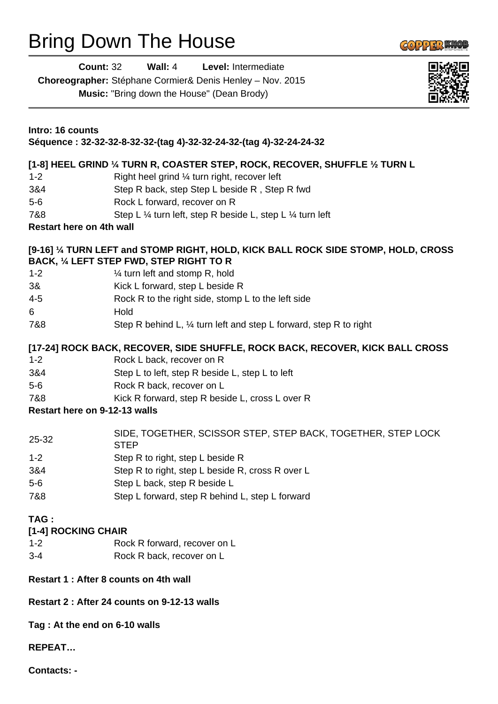## Bring Down The House

| <b>Count: 32</b>                             | Wall: 4<br><b>Level: Intermediate</b><br>Choreographer: Stéphane Cormier& Denis Henley - Nov. 2015<br><b>Music:</b> "Bring down the House" (Dean Brody) |  |
|----------------------------------------------|---------------------------------------------------------------------------------------------------------------------------------------------------------|--|
| Intro: 16 counts                             | Séquence: 32-32-32-8-32-32-(tag 4)-32-32-24-32-(tag 4)-32-24-24-32                                                                                      |  |
|                                              | [1-8] HEEL GRIND 1/4 TURN R, COASTER STEP, ROCK, RECOVER, SHUFFLE 1/2 TURN L                                                                            |  |
| $1 - 2$                                      | Right heel grind 1/4 turn right, recover left                                                                                                           |  |
| 3&4                                          | Step R back, step Step L beside R, Step R fwd                                                                                                           |  |
| $5-6$                                        | Rock L forward, recover on R                                                                                                                            |  |
| 7&8<br><b>Restart here on 4th wall</b>       | Step L 1/4 turn left, step R beside L, step L 1/4 turn left                                                                                             |  |
|                                              |                                                                                                                                                         |  |
|                                              | [9-16] 1/4 TURN LEFT and STOMP RIGHT, HOLD, KICK BALL ROCK SIDE STOMP, HOLD, CROSS<br>BACK, 1/4 LEFT STEP FWD, STEP RIGHT TO R                          |  |
| $1 - 2$                                      | 1/4 turn left and stomp R, hold                                                                                                                         |  |
| 3&                                           | Kick L forward, step L beside R                                                                                                                         |  |
| $4 - 5$                                      | Rock R to the right side, stomp L to the left side                                                                                                      |  |
| 6                                            | Hold                                                                                                                                                    |  |
| 7&8                                          | Step R behind L, $\frac{1}{4}$ turn left and step L forward, step R to right                                                                            |  |
|                                              | [17-24] ROCK BACK, RECOVER, SIDE SHUFFLE, ROCK BACK, RECOVER, KICK BALL CROSS                                                                           |  |
| $1 - 2$                                      | Rock L back, recover on R                                                                                                                               |  |
| 3&4<br>$5-6$                                 | Step L to left, step R beside L, step L to left                                                                                                         |  |
| 7&8                                          | Rock R back, recover on L<br>Kick R forward, step R beside L, cross L over R                                                                            |  |
| Restart here on 9-12-13 walls                |                                                                                                                                                         |  |
|                                              |                                                                                                                                                         |  |
| 25-32                                        | SIDE, TOGETHER, SCISSOR STEP, STEP BACK, TOGETHER, STEP LOCK<br><b>STEP</b>                                                                             |  |
| $1 - 2$                                      | Step R to right, step L beside R                                                                                                                        |  |
| 3&4                                          | Step R to right, step L beside R, cross R over L                                                                                                        |  |
| $5-6$                                        | Step L back, step R beside L                                                                                                                            |  |
| 7&8                                          | Step L forward, step R behind L, step L forward                                                                                                         |  |
| TAG:<br>[1-4] ROCKING CHAIR                  |                                                                                                                                                         |  |
| $1 - 2$                                      | Rock R forward, recover on L                                                                                                                            |  |
| $3 - 4$                                      | Rock R back, recover on L                                                                                                                               |  |
|                                              | Restart 1 : After 8 counts on 4th wall                                                                                                                  |  |
| Restart 2 : After 24 counts on 9-12-13 walls |                                                                                                                                                         |  |
| Tag: At the end on 6-10 walls                |                                                                                                                                                         |  |
| <b>REPEAT</b>                                |                                                                                                                                                         |  |

**Contacts: -**